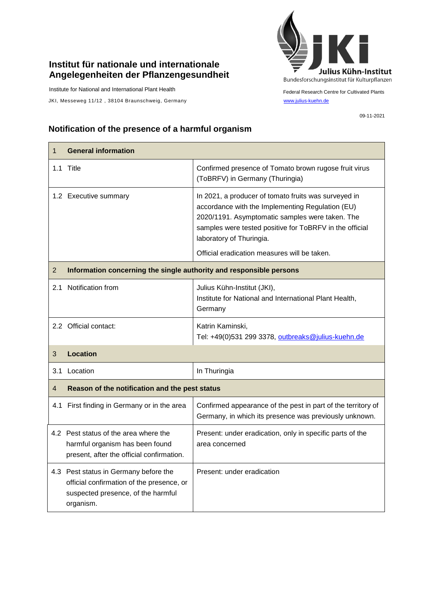## **Institut für nationale und internationale Angelegenheiten der Pflanzengesundheit**

Institute for National and International Plant Health

JKI, Messeweg 11/12, 38104 Braunschweig, Germany [www.julius-kuehn.de](http://www.julius-kuehn.de/)



Federal Research Centre for Cultivated Plants

09-11-2021

## **Notification of the presence of a harmful organism**

| $\mathbf{1}$   | <b>General information</b>                                                                                                            |                                                                                                                                                                                                                                                    |  |
|----------------|---------------------------------------------------------------------------------------------------------------------------------------|----------------------------------------------------------------------------------------------------------------------------------------------------------------------------------------------------------------------------------------------------|--|
|                | 1.1 Title                                                                                                                             | Confirmed presence of Tomato brown rugose fruit virus<br>(ToBRFV) in Germany (Thuringia)                                                                                                                                                           |  |
|                | 1.2 Executive summary                                                                                                                 | In 2021, a producer of tomato fruits was surveyed in<br>accordance with the Implementing Regulation (EU)<br>2020/1191. Asymptomatic samples were taken. The<br>samples were tested positive for ToBRFV in the official<br>laboratory of Thuringia. |  |
|                |                                                                                                                                       | Official eradication measures will be taken.                                                                                                                                                                                                       |  |
| 2              | Information concerning the single authority and responsible persons                                                                   |                                                                                                                                                                                                                                                    |  |
| 2.1            | Notification from                                                                                                                     | Julius Kühn-Institut (JKI),<br>Institute for National and International Plant Health,<br>Germany                                                                                                                                                   |  |
|                | 2.2 Official contact:                                                                                                                 | Katrin Kaminski,<br>Tel: +49(0)531 299 3378, outbreaks@julius-kuehn.de                                                                                                                                                                             |  |
| 3              | <b>Location</b>                                                                                                                       |                                                                                                                                                                                                                                                    |  |
|                | 3.1 Location                                                                                                                          | In Thuringia                                                                                                                                                                                                                                       |  |
| $\overline{4}$ | Reason of the notification and the pest status                                                                                        |                                                                                                                                                                                                                                                    |  |
|                | 4.1 First finding in Germany or in the area                                                                                           | Confirmed appearance of the pest in part of the territory of<br>Germany, in which its presence was previously unknown.                                                                                                                             |  |
|                | 4.2 Pest status of the area where the<br>harmful organism has been found<br>present, after the official confirmation.                 | Present: under eradication, only in specific parts of the<br>area concerned                                                                                                                                                                        |  |
|                | 4.3 Pest status in Germany before the<br>official confirmation of the presence, or<br>suspected presence, of the harmful<br>organism. | Present: under eradication                                                                                                                                                                                                                         |  |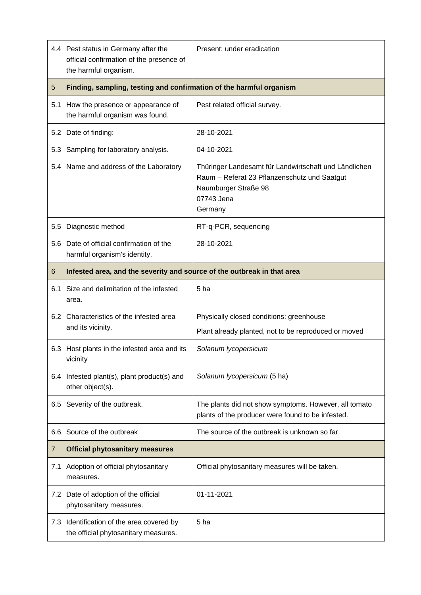|     | 4.4 Pest status in Germany after the<br>official confirmation of the presence of<br>the harmful organism. | Present: under eradication                                                                                                                             |  |
|-----|-----------------------------------------------------------------------------------------------------------|--------------------------------------------------------------------------------------------------------------------------------------------------------|--|
| 5   | Finding, sampling, testing and confirmation of the harmful organism                                       |                                                                                                                                                        |  |
| 5.1 | How the presence or appearance of<br>the harmful organism was found.                                      | Pest related official survey.                                                                                                                          |  |
|     | 5.2 Date of finding:                                                                                      | 28-10-2021                                                                                                                                             |  |
|     | 5.3 Sampling for laboratory analysis.                                                                     | 04-10-2021                                                                                                                                             |  |
|     | 5.4 Name and address of the Laboratory                                                                    | Thüringer Landesamt für Landwirtschaft und Ländlichen<br>Raum - Referat 23 Pflanzenschutz und Saatgut<br>Naumburger Straße 98<br>07743 Jena<br>Germany |  |
| 5.5 | Diagnostic method                                                                                         | RT-q-PCR, sequencing                                                                                                                                   |  |
|     | 5.6 Date of official confirmation of the<br>harmful organism's identity.                                  | 28-10-2021                                                                                                                                             |  |
| 6   | Infested area, and the severity and source of the outbreak in that area                                   |                                                                                                                                                        |  |
| 6.1 | Size and delimitation of the infested<br>area.                                                            | 5 <sub>ha</sub>                                                                                                                                        |  |
|     | 6.2 Characteristics of the infested area                                                                  | Physically closed conditions: greenhouse                                                                                                               |  |
|     | and its vicinity.                                                                                         | Plant already planted, not to be reproduced or moved                                                                                                   |  |
|     | 6.3 Host plants in the infested area and its<br>vicinity                                                  | Solanum lycopersicum                                                                                                                                   |  |
|     | 6.4 Infested plant(s), plant product(s) and<br>other object(s).                                           | Solanum lycopersicum (5 ha)                                                                                                                            |  |
|     | 6.5 Severity of the outbreak.                                                                             | The plants did not show symptoms. However, all tomato<br>plants of the producer were found to be infested.                                             |  |
| 6.6 | Source of the outbreak                                                                                    | The source of the outbreak is unknown so far.                                                                                                          |  |
| 7   | <b>Official phytosanitary measures</b>                                                                    |                                                                                                                                                        |  |
| 7.1 | Adoption of official phytosanitary<br>measures.                                                           | Official phytosanitary measures will be taken.                                                                                                         |  |
|     | 7.2 Date of adoption of the official<br>phytosanitary measures.                                           | 01-11-2021                                                                                                                                             |  |
|     | 7.3 Identification of the area covered by<br>the official phytosanitary measures.                         | 5 ha                                                                                                                                                   |  |